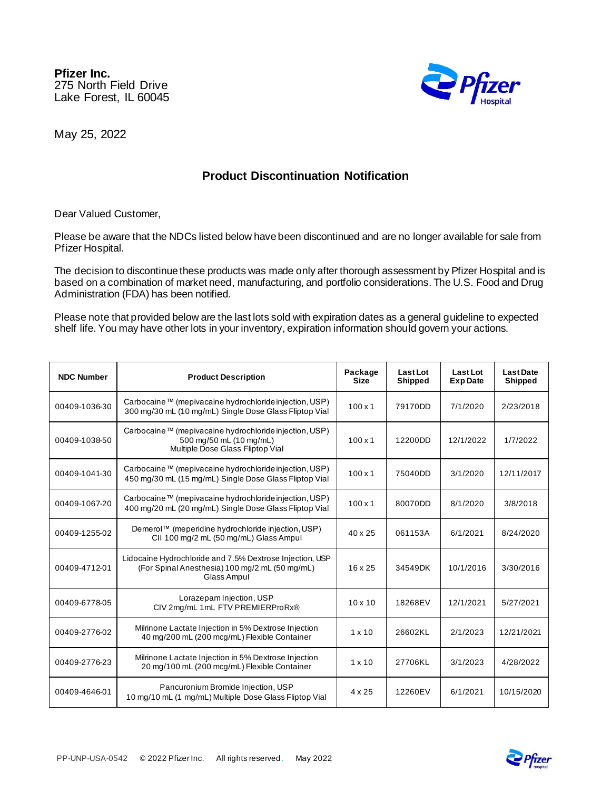**Pfizer Inc.** 275 North Field Drive Lake Forest, IL 60045



May 25, 2022

## **Product Discontinuation Notification**

Dear Valued Customer,

Please be aware that the NDCs listed below have been discontinued and are no longer available for sale from Pfizer Hospital.

The decision to discontinue these products was made only after thorough assessment by Pfizer Hospital and is based on a combination of market need, manufacturing, and portfolio considerations. The U.S. Food and Drug Administration (FDA) has been notified.

Please note that provided below are the last lots sold with expiration dates as a general guideline to expected shelf life. You may have other lots in your inventory, expiration information should govern your actions.

| <b>NDC Number</b> | <b>Product Description</b>                                                                                                | Package<br><b>Size</b> | Last Lot<br><b>Shipped</b> | Last Lot<br><b>Exp Date</b> | <b>Last Date</b><br>Shipped |
|-------------------|---------------------------------------------------------------------------------------------------------------------------|------------------------|----------------------------|-----------------------------|-----------------------------|
| 00409-1036-30     | Carbocaine™ (mepivacaine hydrochloride injection, USP)<br>300 mg/30 mL (10 mg/mL) Single Dose Glass Fliptop Vial          | $100 \times 1$         | 79170DD                    | 7/1/2020                    | 2/23/2018                   |
| 00409-1038-50     | Carbocaine™ (mepivacaine hydrochloride injection, USP)<br>500 mg/50 mL (10 mg/mL)<br>Multiple Dose Glass Fliptop Vial     | $100 \times 1$         | 12200DD                    | 12/1/2022                   | 1/7/2022                    |
| 00409-1041-30     | Carbocaine™ (mepivacaine hydrochloride injection, USP)<br>450 mg/30 mL (15 mg/mL) Single Dose Glass Fliptop Vial          | $100 \times 1$         | 75040DD                    | 3/1/2020                    | 12/11/2017                  |
| 00409-1067-20     | Carbocaine™ (mepivacaine hydrochloride injection, USP)<br>400 mg/20 mL (20 mg/mL) Single Dose Glass Fliptop Vial          | $100 \times 1$         | 80070DD                    | 8/1/2020                    | 3/8/2018                    |
| 00409-1255-02     | Demerol™ (meperidine hydrochloride injection, USP)<br>CII 100 mg/2 mL (50 mg/mL) Glass Ampul                              | $40 \times 25$         | 061153A                    | 6/1/2021                    | 8/24/2020                   |
| 00409-4712-01     | Lidocaine Hydrochloride and 7.5% Dextrose Injection, USP<br>(For Spinal Anesthesia) 100 mg/2 mL (50 mg/mL)<br>Glass Ampul | $16 \times 25$         | 34549DK                    | 10/1/2016                   | 3/30/2016                   |
| 00409-6778-05     | Lorazepam Injection, USP<br>CIV 2mg/mL 1mL FTV PREMIERProRx®                                                              | $10 \times 10$         | 18268EV                    | 12/1/2021                   | 5/27/2021                   |
| 00409-2776-02     | Milrinone Lactate Injection in 5% Dextrose Injection<br>40 mg/200 mL (200 mcg/mL) Flexible Container                      | $1 \times 10$          | 26602KL                    | 2/1/2023                    | 12/21/2021                  |
| 00409-2776-23     | Milrinone Lactate Injection in 5% Dextrose Injection<br>20 mg/100 mL (200 mcg/mL) Flexible Container                      | $1 \times 10$          | 27706KL                    | 3/1/2023                    | 4/28/2022                   |
| 00409-4646-01     | Pancuronium Bromide Injection, USP<br>10 mg/10 mL (1 mg/mL) Multiple Dose Glass Fliptop Vial                              | $4 \times 25$          | 12260EV                    | 6/1/2021                    | 10/15/2020                  |